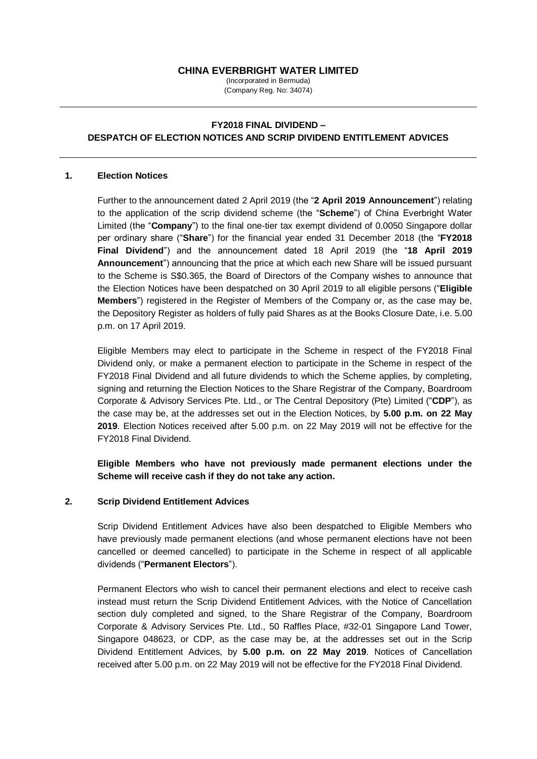# **CHINA EVERBRIGHT WATER LIMITED**

(Incorporated in Bermuda) (Company Reg. No: 34074)

# **FY2018 FINAL DIVIDEND – DESPATCH OF ELECTION NOTICES AND SCRIP DIVIDEND ENTITLEMENT ADVICES**

#### **1. Election Notices**

Further to the announcement dated 2 April 2019 (the "**2 April 2019 Announcement**") relating to the application of the scrip dividend scheme (the "**Scheme**") of China Everbright Water Limited (the "**Company**") to the final one-tier tax exempt dividend of 0.0050 Singapore dollar per ordinary share ("**Share**") for the financial year ended 31 December 2018 (the "**FY2018 Final Dividend**") and the announcement dated 18 April 2019 (the "**18 April 2019 Announcement**") announcing that the price at which each new Share will be issued pursuant to the Scheme is S\$0.365, the Board of Directors of the Company wishes to announce that the Election Notices have been despatched on 30 April 2019 to all eligible persons ("**Eligible Members**") registered in the Register of Members of the Company or, as the case may be, the Depository Register as holders of fully paid Shares as at the Books Closure Date, i.e. 5.00 p.m. on 17 April 2019.

Eligible Members may elect to participate in the Scheme in respect of the FY2018 Final Dividend only, or make a permanent election to participate in the Scheme in respect of the FY2018 Final Dividend and all future dividends to which the Scheme applies, by completing, signing and returning the Election Notices to the Share Registrar of the Company, Boardroom Corporate & Advisory Services Pte. Ltd., or The Central Depository (Pte) Limited ("**CDP**"), as the case may be, at the addresses set out in the Election Notices, by **5.00 p.m. on 22 May 2019**. Election Notices received after 5.00 p.m. on 22 May 2019 will not be effective for the FY2018 Final Dividend.

**Eligible Members who have not previously made permanent elections under the Scheme will receive cash if they do not take any action.** 

### **2. Scrip Dividend Entitlement Advices**

Scrip Dividend Entitlement Advices have also been despatched to Eligible Members who have previously made permanent elections (and whose permanent elections have not been cancelled or deemed cancelled) to participate in the Scheme in respect of all applicable dividends ("**Permanent Electors**").

Permanent Electors who wish to cancel their permanent elections and elect to receive cash instead must return the Scrip Dividend Entitlement Advices, with the Notice of Cancellation section duly completed and signed, to the Share Registrar of the Company, Boardroom Corporate & Advisory Services Pte. Ltd., 50 Raffles Place, #32-01 Singapore Land Tower, Singapore 048623, or CDP, as the case may be, at the addresses set out in the Scrip Dividend Entitlement Advices, by **5.00 p.m. on 22 May 2019**. Notices of Cancellation received after 5.00 p.m. on 22 May 2019 will not be effective for the FY2018 Final Dividend.